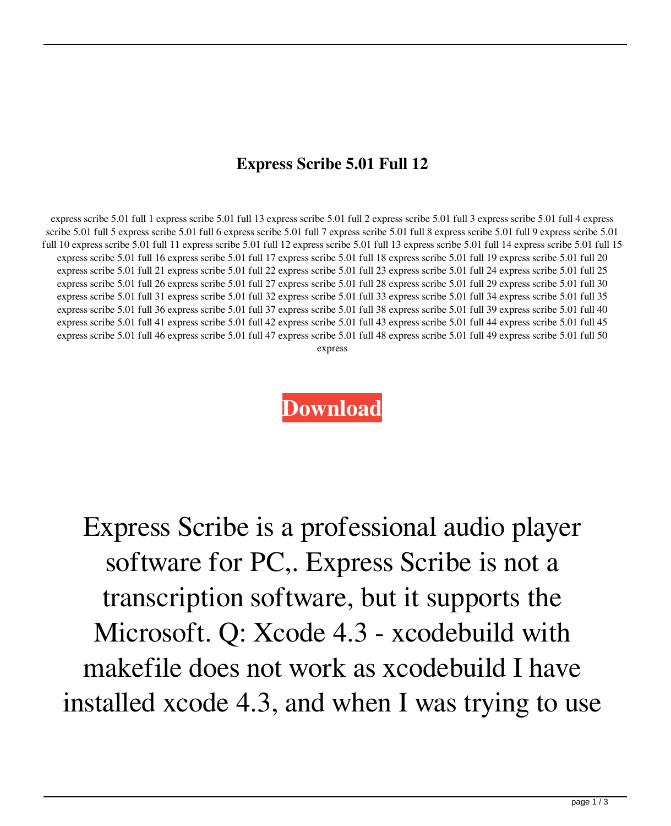## **Express Scribe 5.01 Full 12**

express scribe 5.01 full 1 express scribe 5.01 full 13 express scribe 5.01 full 2 express scribe 5.01 full 3 express scribe 5.01 full 4 express scribe 5.01 full 5 express scribe 5.01 full 6 express scribe 5.01 full 7 express scribe 5.01 full 8 express scribe 5.01 full 9 express scribe 5.01 full 10 express scribe 5.01 full 11 express scribe 5.01 full 12 express scribe 5.01 full 13 express scribe 5.01 full 14 express scribe 5.01 full 15 express scribe 5.01 full 16 express scribe 5.01 full 17 express scribe 5.01 full 18 express scribe 5.01 full 19 express scribe 5.01 full 20 express scribe 5.01 full 21 express scribe 5.01 full 22 express scribe 5.01 full 23 express scribe 5.01 full 24 express scribe 5.01 full 25 express scribe 5.01 full 26 express scribe 5.01 full 27 express scribe 5.01 full 28 express scribe 5.01 full 29 express scribe 5.01 full 30 express scribe 5.01 full 31 express scribe 5.01 full 32 express scribe 5.01 full 33 express scribe 5.01 full 34 express scribe 5.01 full 35 express scribe 5.01 full 36 express scribe 5.01 full 37 express scribe 5.01 full 38 express scribe 5.01 full 39 express scribe 5.01 full 40 express scribe 5.01 full 41 express scribe 5.01 full 42 express scribe 5.01 full 43 express scribe 5.01 full 44 express scribe 5.01 full 45 express scribe 5.01 full 46 express scribe 5.01 full 47 express scribe 5.01 full 48 express scribe 5.01 full 49 express scribe 5.01 full 50 express

## **[Download](http://evacdir.com/binding/bubble.ZXhwcmVzcyBzY3JpYmUgNS4wMSBmdWxsIDEyZXh?eroding=heres.plantes&helpee=./ZG93bmxvYWR8SHczTWpKNmRYeDhNVFkxTWpjME1EZzJObng4TWpVM05IeDhLRTBwSUhKbFlXUXRZbXh2WnlCYlJtRnpkQ0JIUlU1ZA/)**

Express Scribe is a professional audio player software for PC,. Express Scribe is not a transcription software, but it supports the Microsoft. Q: Xcode 4.3 - xcodebuild with makefile does not work as xcodebuild I have installed xcode 4.3, and when I was trying to use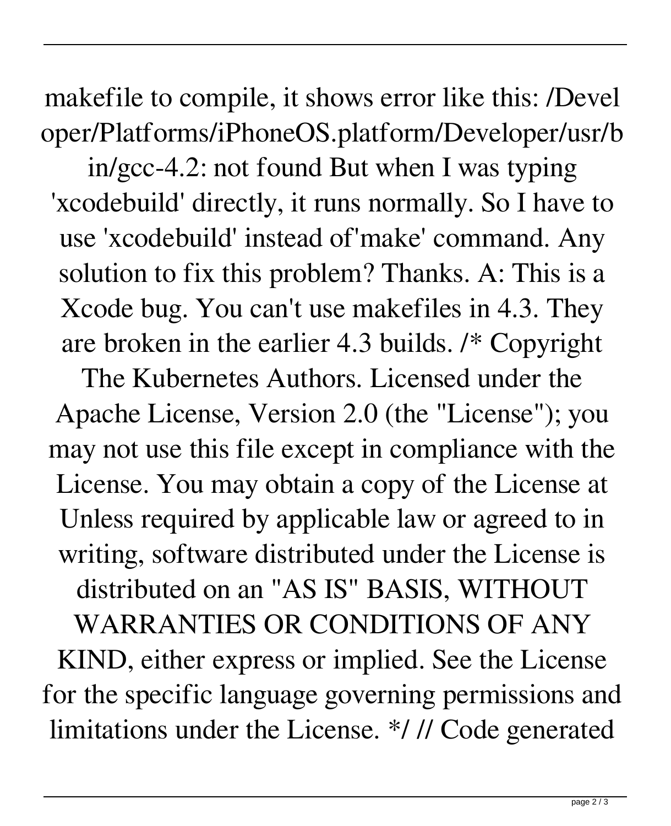makefile to compile, it shows error like this: /Devel oper/Platforms/iPhoneOS.platform/Developer/usr/b

in/gcc-4.2: not found But when I was typing 'xcodebuild' directly, it runs normally. So I have to use 'xcodebuild' instead of'make' command. Any solution to fix this problem? Thanks. A: This is a Xcode bug. You can't use makefiles in 4.3. They are broken in the earlier 4.3 builds. /\* Copyright

The Kubernetes Authors. Licensed under the Apache License, Version 2.0 (the "License"); you may not use this file except in compliance with the License. You may obtain a copy of the License at Unless required by applicable law or agreed to in writing, software distributed under the License is distributed on an "AS IS" BASIS, WITHOUT WARRANTIES OR CONDITIONS OF ANY KIND, either express or implied. See the License for the specific language governing permissions and limitations under the License. \*/ // Code generated